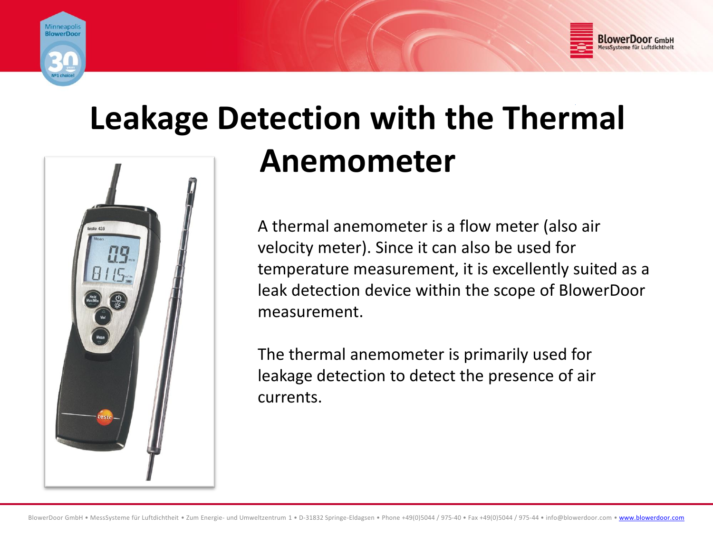

esto 425



# **Leakage Detection with the Thermal Anemometer**

A thermal anemometer is a flow meter (also air velocity meter). Since it can also be used for temperature measurement, it is excellently suited as a leak detection device within the scope of BlowerDoor measurement.

The thermal anemometer is primarily used for leakage detection to detect the presence of air currents.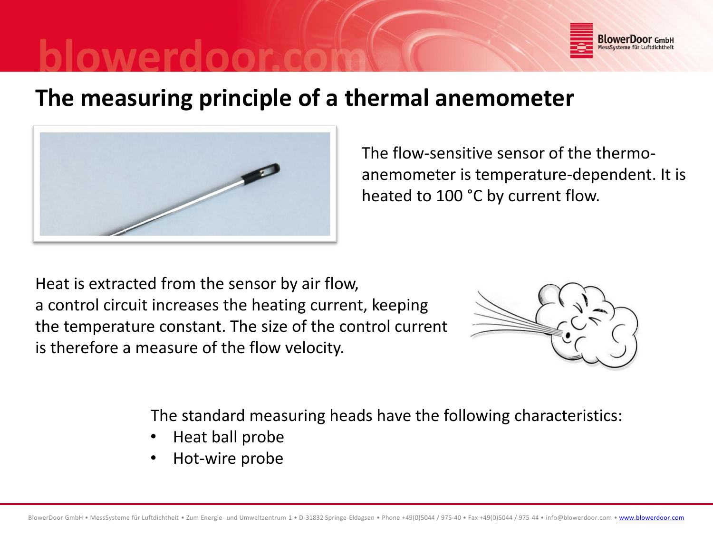

## **The measuring principle of a thermal anemometer**



The flow-sensitive sensor of the thermoanemometer is temperature-dependent. It is heated to 100 °C by current flow.

Heat is extracted from the sensor by air flow, a control circuit increases the heating current, keeping the temperature constant. The size of the control current is therefore a measure of the flow velocity.



The standard measuring heads have the following characteristics:

- Heat ball probe
- Hot-wire probe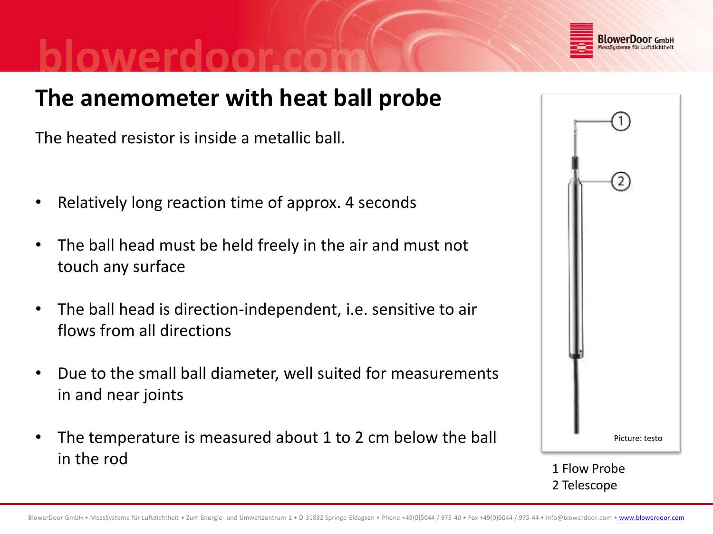

## **The anemometer with heat ball probe**

The heated resistor is inside a metallic ball.

- Relatively long reaction time of approx. 4 seconds
- The ball head must be held freely in the air and must not touch any surface
- The ball head is direction-independent, i.e. sensitive to air flows from all directions
- Due to the small ball diameter, well suited for measurements in and near joints
- The temperature is measured about 1 to 2 cm below the ball in the rod



1 Flow Probe 2 Telescope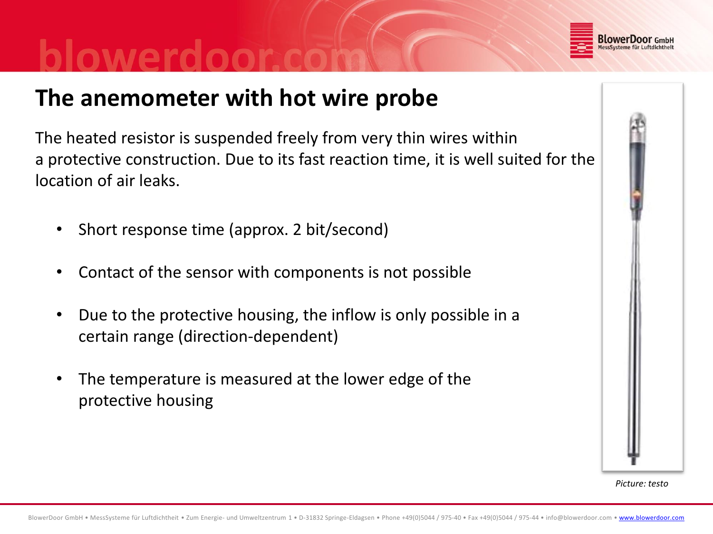

## **The anemometer with hot wire probe**

The heated resistor is suspended freely from very thin wires within a protective construction. Due to its fast reaction time, it is well suited for the location of air leaks.

- Short response time (approx. 2 bit/second)
- Contact of the sensor with components is not possible
- Due to the protective housing, the inflow is only possible in a certain range (direction-dependent)
- The temperature is measured at the lower edge of the protective housing



*Picture: testo*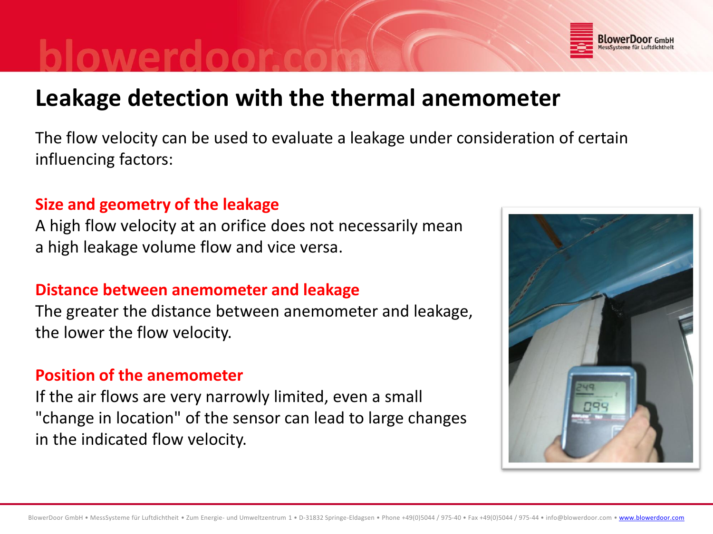## **Leakage detection with the thermal anemometer**

The flow velocity can be used to evaluate a leakage under consideration of certain influencing factors:

#### **Size and geometry of the leakage**

A high flow velocity at an orifice does not necessarily mean a high leakage volume flow and vice versa.

### **Distance between anemometer and leakage**

The greater the distance between anemometer and leakage, the lower the flow velocity.

#### **Position of the anemometer**

If the air flows are very narrowly limited, even a small "change in location" of the sensor can lead to large changes in the indicated flow velocity.



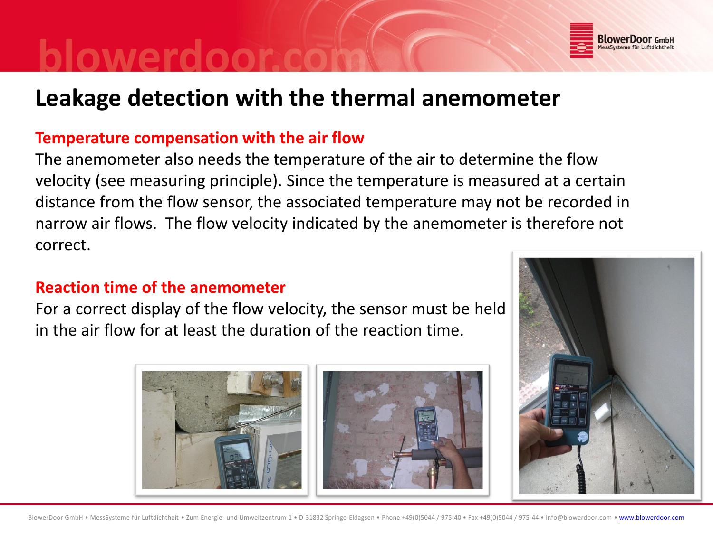

## **Leakage detection with the thermal anemometer**

#### **Temperature compensation with the air flow**

The anemometer also needs the temperature of the air to determine the flow velocity (see measuring principle). Since the temperature is measured at a certain distance from the flow sensor, the associated temperature may not be recorded in narrow air flows. The flow velocity indicated by the anemometer is therefore not correct.

#### **Reaction time of the anemometer**

For a correct display of the flow velocity, the sensor must be held in the air flow for at least the duration of the reaction time.



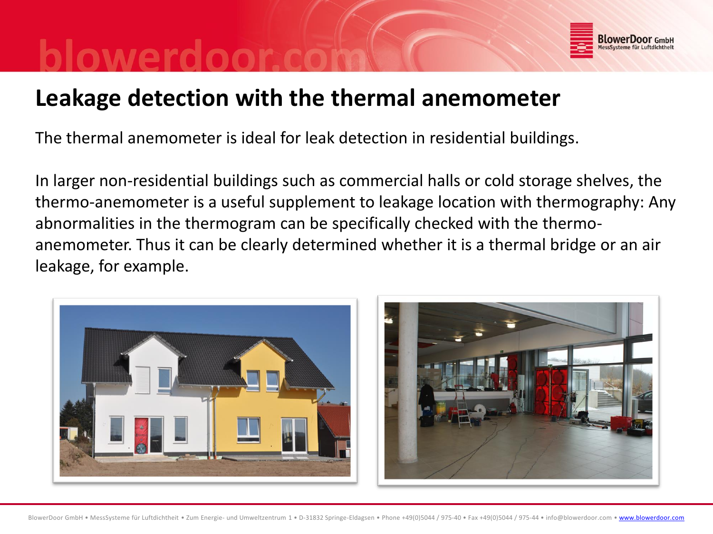

## **Leakage detection with the thermal anemometer**

The thermal anemometer is ideal for leak detection in residential buildings.

In larger non-residential buildings such as commercial halls or cold storage shelves, the thermo-anemometer is a useful supplement to leakage location with thermography: Any abnormalities in the thermogram can be specifically checked with the thermoanemometer. Thus it can be clearly determined whether it is a thermal bridge or an air leakage, for example.